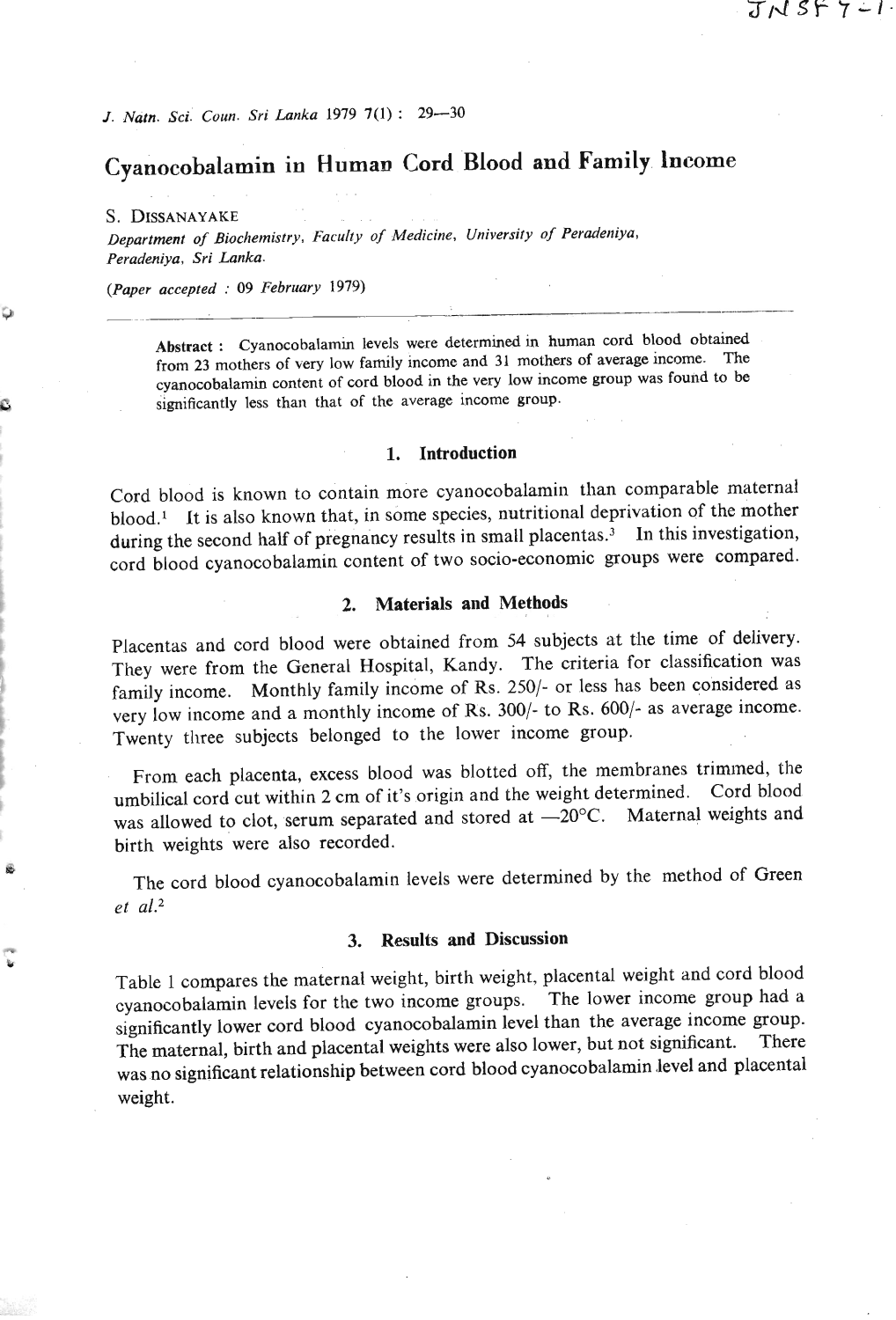# **Cyanocobalamin in Human Cord 'Blood and Family lneome**

**S. DISSANAYAKE** 

Department of Biochemistry, Faculty of Medicine, University of Peradeniya, *Peradeniya, Sri Lanka.* 

*(Paper accepted* : **<sup>09</sup>***February* **1979)** 

**Abstract** : **Cyanocobalamin levels were determined in human cord blood obtained from 23 mothers of** very **low family income and 31 mothers of average income. The cyanocobalamin content of cord blood in the** very **low income group was found to be significantly less than that of the average income group.** 

#### **1. Introduction**

Cord blood is known to contain more cyanocobalamin than comparable maternal blood.<sup>1</sup> It is also known that, in some species, nutritional deprivation of the mother during the second half of pregnancy results in small placentas.<sup>3</sup> In this investigation, cord blood cyanocobalamin content of two socio-economic groups were compared.

## **2. Materials and Methods**

Placentas and cord blood were obtained from 54 subjects at the time of delivery. They were from the General Hospital, Kandy. The criteria for classification was family income. Monthly family income of Rs. 250/- or less has been considered as very low income and a monthly income of Rs. 300/- to Rs. 600/- as average income. Twenty three subjects belonged to the lower income group.

From each placenta, excess blood was blotted off, the membranes trimmed, the umbilical cord cut within **2** cm of it's origin and the weight determined. Cord blood was allowed to clot, serum separated and stored at  $-20^{\circ}$ C. Maternal weights and birth weights were also recorded.

The cord blood cyanocobalamin levels were determined by the method of Green *et* **a1.2** 

### **3. Results and Discussion**

Table 1 compares the maternal weight, birth weight, placental weight and cord blood cyanocobalarnin levels for the two income groups. The lower income group had a significantly lower cord blood cyanocobalamin level than the average income group. The maternal, birth and placental weights were also lower, but not significant. There was no significant relationship between cord blood cyanocobalamin level and placental weight.